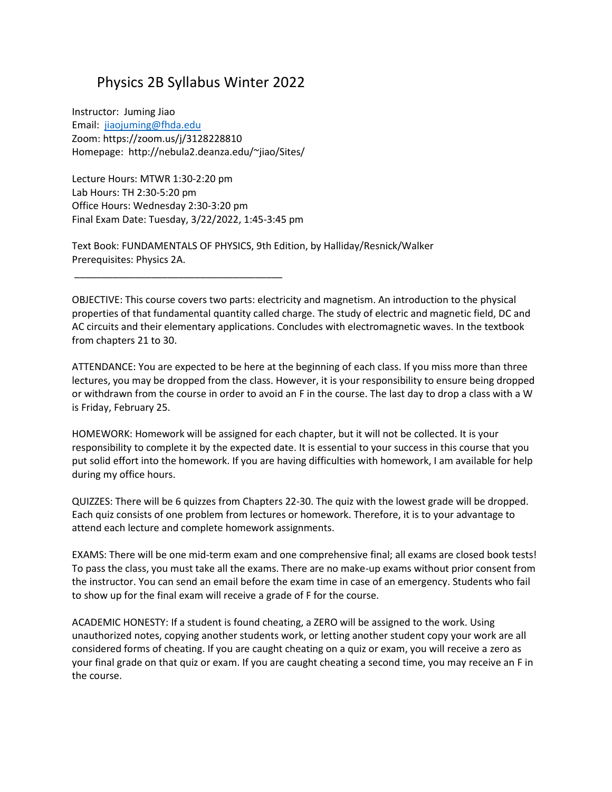## Physics 2B Syllabus Winter 2022

Instructor: Juming Jiao Email: [jiaojuming@fhda.edu](mailto:jiaojuming@fhda.edu) Zoom: https://zoom.us/j/3128228810 Homepage: http://nebula2.deanza.edu/~jiao/Sites/

Lecture Hours: MTWR 1:30-2:20 pm Lab Hours: TH 2:30-5:20 pm Office Hours: Wednesday 2:30-3:20 pm Final Exam Date: Tuesday, 3/22/2022, 1:45-3:45 pm

\_\_\_\_\_\_\_\_\_\_\_\_\_\_\_\_\_\_\_\_\_\_\_\_\_\_\_\_\_\_\_\_\_\_\_\_\_\_

Text Book: FUNDAMENTALS OF PHYSICS, 9th Edition, by Halliday/Resnick/Walker Prerequisites: Physics 2A.

OBJECTIVE: This course covers two parts: electricity and magnetism. An introduction to the physical properties of that fundamental quantity called charge. The study of electric and magnetic field, DC and AC circuits and their elementary applications. Concludes with electromagnetic waves. In the textbook from chapters 21 to 30.

ATTENDANCE: You are expected to be here at the beginning of each class. If you miss more than three lectures, you may be dropped from the class. However, it is your responsibility to ensure being dropped or withdrawn from the course in order to avoid an F in the course. The last day to drop a class with a W is Friday, February 25.

HOMEWORK: Homework will be assigned for each chapter, but it will not be collected. It is your responsibility to complete it by the expected date. It is essential to your success in this course that you put solid effort into the homework. If you are having difficulties with homework, I am available for help during my office hours.

QUIZZES: There will be 6 quizzes from Chapters 22-30. The quiz with the lowest grade will be dropped. Each quiz consists of one problem from lectures or homework. Therefore, it is to your advantage to attend each lecture and complete homework assignments.

EXAMS: There will be one mid-term exam and one comprehensive final; all exams are closed book tests! To pass the class, you must take all the exams. There are no make-up exams without prior consent from the instructor. You can send an email before the exam time in case of an emergency. Students who fail to show up for the final exam will receive a grade of F for the course.

ACADEMIC HONESTY: If a student is found cheating, a ZERO will be assigned to the work. Using unauthorized notes, copying another students work, or letting another student copy your work are all considered forms of cheating. If you are caught cheating on a quiz or exam, you will receive a zero as your final grade on that quiz or exam. If you are caught cheating a second time, you may receive an F in the course.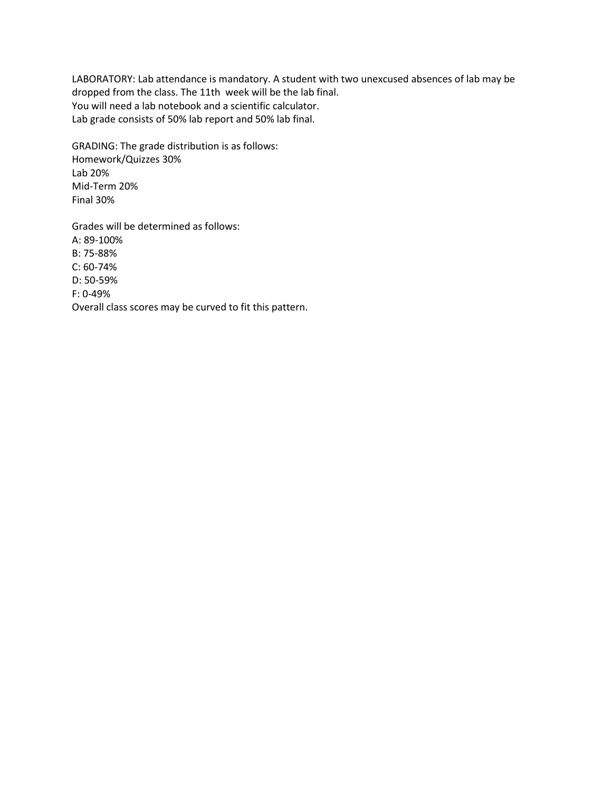LABORATORY: Lab attendance is mandatory. A student with two unexcused absences of lab may be dropped from the class. The 11th week will be the lab final. You will need a lab notebook and a scientific calculator. Lab grade consists of 50% lab report and 50% lab final.

GRADING: The grade distribution is as follows: Homework/Quizzes 30% Lab 20% Mid-Term 20% Final 30%

Grades will be determined as follows: A: 89-100% B: 75-88% C: 60-74% D: 50-59% F: 0-49% Overall class scores may be curved to fit this pattern.